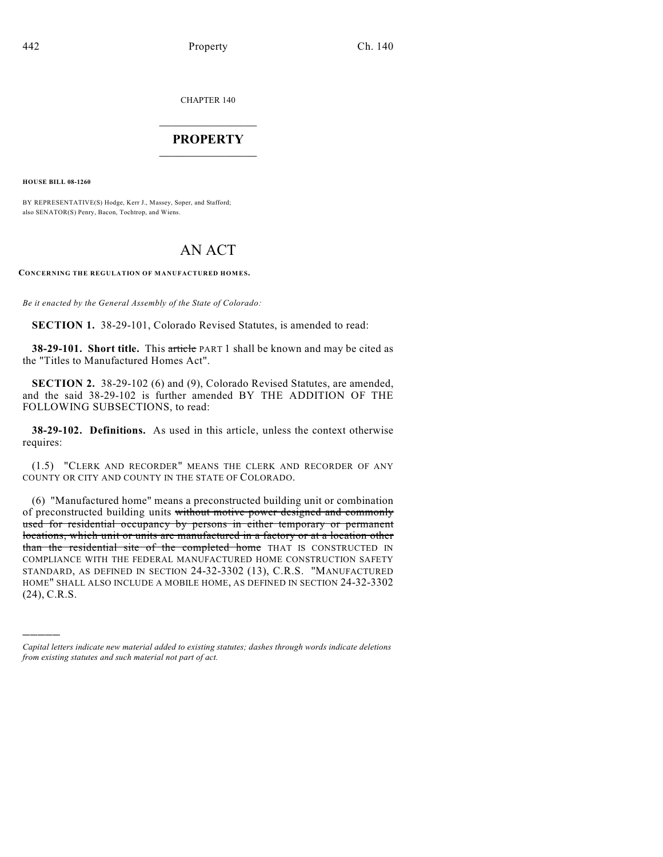CHAPTER 140

# $\overline{\phantom{a}}$  . The set of the set of the set of the set of the set of the set of the set of the set of the set of the set of the set of the set of the set of the set of the set of the set of the set of the set of the set o **PROPERTY**  $\_$   $\_$   $\_$   $\_$   $\_$   $\_$   $\_$   $\_$   $\_$

**HOUSE BILL 08-1260**

)))))

BY REPRESENTATIVE(S) Hodge, Kerr J., Massey, Soper, and Stafford; also SENATOR(S) Penry, Bacon, Tochtrop, and Wiens.

# AN ACT

CONCERNING THE REGULATION OF MANUFACTURED HOMES.

*Be it enacted by the General Assembly of the State of Colorado:*

**SECTION 1.** 38-29-101, Colorado Revised Statutes, is amended to read:

**38-29-101. Short title.** This article PART 1 shall be known and may be cited as the "Titles to Manufactured Homes Act".

**SECTION 2.** 38-29-102 (6) and (9), Colorado Revised Statutes, are amended, and the said 38-29-102 is further amended BY THE ADDITION OF THE FOLLOWING SUBSECTIONS, to read:

**38-29-102. Definitions.** As used in this article, unless the context otherwise requires:

(1.5) "CLERK AND RECORDER" MEANS THE CLERK AND RECORDER OF ANY COUNTY OR CITY AND COUNTY IN THE STATE OF COLORADO.

(6) "Manufactured home" means a preconstructed building unit or combination of preconstructed building units without motive power designed and commonly used for residential occupancy by persons in either temporary or permanent locations, which unit or units are manufactured in a factory or at a location other than the residential site of the completed home THAT IS CONSTRUCTED IN COMPLIANCE WITH THE FEDERAL MANUFACTURED HOME CONSTRUCTION SAFETY STANDARD, AS DEFINED IN SECTION 24-32-3302 (13), C.R.S. "MANUFACTURED HOME" SHALL ALSO INCLUDE A MOBILE HOME, AS DEFINED IN SECTION 24-32-3302 (24), C.R.S.

*Capital letters indicate new material added to existing statutes; dashes through words indicate deletions from existing statutes and such material not part of act.*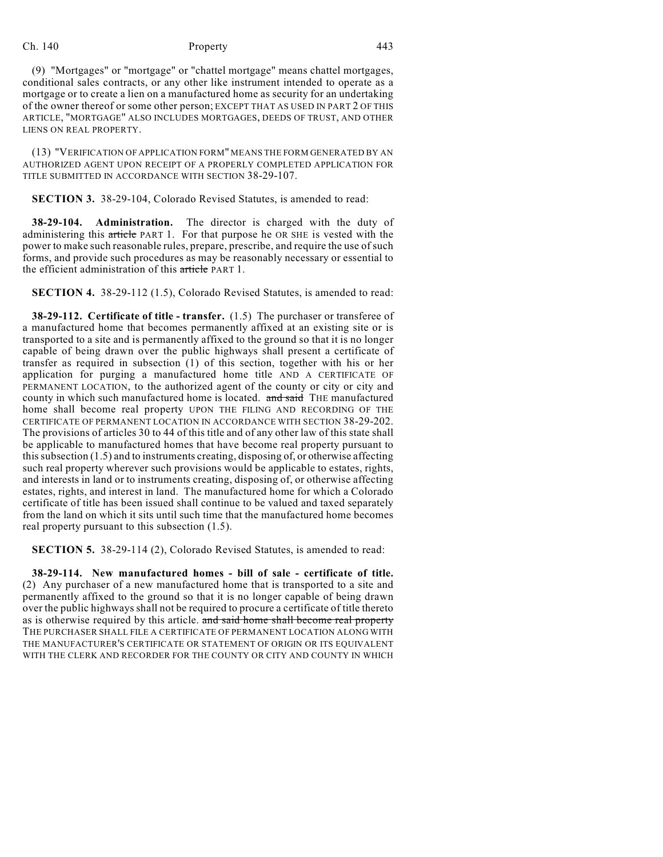# Ch. 140 Property 2443

(9) "Mortgages" or "mortgage" or "chattel mortgage" means chattel mortgages, conditional sales contracts, or any other like instrument intended to operate as a mortgage or to create a lien on a manufactured home as security for an undertaking of the owner thereof or some other person; EXCEPT THAT AS USED IN PART 2 OF THIS ARTICLE, "MORTGAGE" ALSO INCLUDES MORTGAGES, DEEDS OF TRUST, AND OTHER LIENS ON REAL PROPERTY.

(13) "VERIFICATION OF APPLICATION FORM" MEANS THE FORM GENERATED BY AN AUTHORIZED AGENT UPON RECEIPT OF A PROPERLY COMPLETED APPLICATION FOR TITLE SUBMITTED IN ACCORDANCE WITH SECTION 38-29-107.

**SECTION 3.** 38-29-104, Colorado Revised Statutes, is amended to read:

**38-29-104. Administration.** The director is charged with the duty of administering this article PART 1. For that purpose he OR SHE is vested with the power to make such reasonable rules, prepare, prescribe, and require the use of such forms, and provide such procedures as may be reasonably necessary or essential to the efficient administration of this article PART 1.

**SECTION 4.** 38-29-112 (1.5), Colorado Revised Statutes, is amended to read:

**38-29-112. Certificate of title - transfer.** (1.5) The purchaser or transferee of a manufactured home that becomes permanently affixed at an existing site or is transported to a site and is permanently affixed to the ground so that it is no longer capable of being drawn over the public highways shall present a certificate of transfer as required in subsection (1) of this section, together with his or her application for purging a manufactured home title AND A CERTIFICATE OF PERMANENT LOCATION, to the authorized agent of the county or city or city and county in which such manufactured home is located. and said THE manufactured home shall become real property UPON THE FILING AND RECORDING OF THE CERTIFICATE OF PERMANENT LOCATION IN ACCORDANCE WITH SECTION 38-29-202. The provisions of articles 30 to 44 of this title and of any other law of this state shall be applicable to manufactured homes that have become real property pursuant to this subsection (1.5) and to instruments creating, disposing of, or otherwise affecting such real property wherever such provisions would be applicable to estates, rights, and interests in land or to instruments creating, disposing of, or otherwise affecting estates, rights, and interest in land. The manufactured home for which a Colorado certificate of title has been issued shall continue to be valued and taxed separately from the land on which it sits until such time that the manufactured home becomes real property pursuant to this subsection (1.5).

**SECTION 5.** 38-29-114 (2), Colorado Revised Statutes, is amended to read:

**38-29-114. New manufactured homes - bill of sale - certificate of title.** (2) Any purchaser of a new manufactured home that is transported to a site and permanently affixed to the ground so that it is no longer capable of being drawn over the public highways shall not be required to procure a certificate of title thereto as is otherwise required by this article. and said home shall become real property THE PURCHASER SHALL FILE A CERTIFICATE OF PERMANENT LOCATION ALONG WITH THE MANUFACTURER'S CERTIFICATE OR STATEMENT OF ORIGIN OR ITS EQUIVALENT WITH THE CLERK AND RECORDER FOR THE COUNTY OR CITY AND COUNTY IN WHICH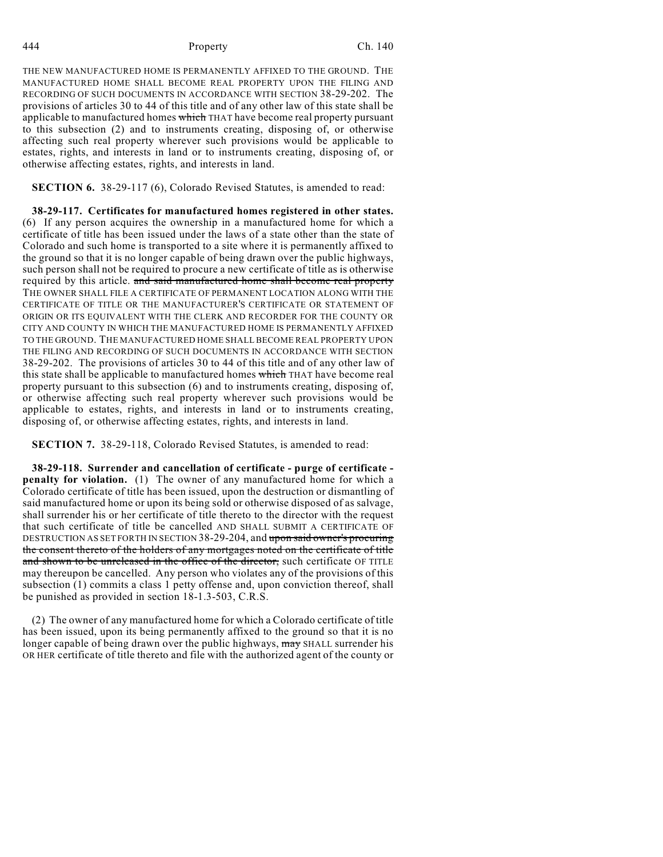444 Property Ch. 140

THE NEW MANUFACTURED HOME IS PERMANENTLY AFFIXED TO THE GROUND. THE MANUFACTURED HOME SHALL BECOME REAL PROPERTY UPON THE FILING AND RECORDING OF SUCH DOCUMENTS IN ACCORDANCE WITH SECTION 38-29-202. The provisions of articles 30 to 44 of this title and of any other law of this state shall be applicable to manufactured homes which THAT have become real property pursuant to this subsection (2) and to instruments creating, disposing of, or otherwise affecting such real property wherever such provisions would be applicable to estates, rights, and interests in land or to instruments creating, disposing of, or otherwise affecting estates, rights, and interests in land.

**SECTION 6.** 38-29-117 (6), Colorado Revised Statutes, is amended to read:

**38-29-117. Certificates for manufactured homes registered in other states.** (6) If any person acquires the ownership in a manufactured home for which a certificate of title has been issued under the laws of a state other than the state of Colorado and such home is transported to a site where it is permanently affixed to the ground so that it is no longer capable of being drawn over the public highways, such person shall not be required to procure a new certificate of title as is otherwise required by this article. and said manufactured home shall become real property THE OWNER SHALL FILE A CERTIFICATE OF PERMANENT LOCATION ALONG WITH THE CERTIFICATE OF TITLE OR THE MANUFACTURER'S CERTIFICATE OR STATEMENT OF ORIGIN OR ITS EQUIVALENT WITH THE CLERK AND RECORDER FOR THE COUNTY OR CITY AND COUNTY IN WHICH THE MANUFACTURED HOME IS PERMANENTLY AFFIXED TO THE GROUND. THE MANUFACTURED HOME SHALL BECOME REAL PROPERTY UPON THE FILING AND RECORDING OF SUCH DOCUMENTS IN ACCORDANCE WITH SECTION 38-29-202. The provisions of articles 30 to 44 of this title and of any other law of this state shall be applicable to manufactured homes which THAT have become real property pursuant to this subsection (6) and to instruments creating, disposing of, or otherwise affecting such real property wherever such provisions would be applicable to estates, rights, and interests in land or to instruments creating, disposing of, or otherwise affecting estates, rights, and interests in land.

**SECTION 7.** 38-29-118, Colorado Revised Statutes, is amended to read:

**38-29-118. Surrender and cancellation of certificate - purge of certificate penalty for violation.** (1) The owner of any manufactured home for which a Colorado certificate of title has been issued, upon the destruction or dismantling of said manufactured home or upon its being sold or otherwise disposed of as salvage, shall surrender his or her certificate of title thereto to the director with the request that such certificate of title be cancelled AND SHALL SUBMIT A CERTIFICATE OF DESTRUCTION AS SET FORTH IN SECTION 38-29-204, and upon said owner's procuring the consent thereto of the holders of any mortgages noted on the certificate of title and shown to be unreleased in the office of the director, such certificate OF TITLE may thereupon be cancelled. Any person who violates any of the provisions of this subsection (1) commits a class 1 petty offense and, upon conviction thereof, shall be punished as provided in section 18-1.3-503, C.R.S.

(2) The owner of any manufactured home for which a Colorado certificate of title has been issued, upon its being permanently affixed to the ground so that it is no longer capable of being drawn over the public highways, may SHALL surrender his OR HER certificate of title thereto and file with the authorized agent of the county or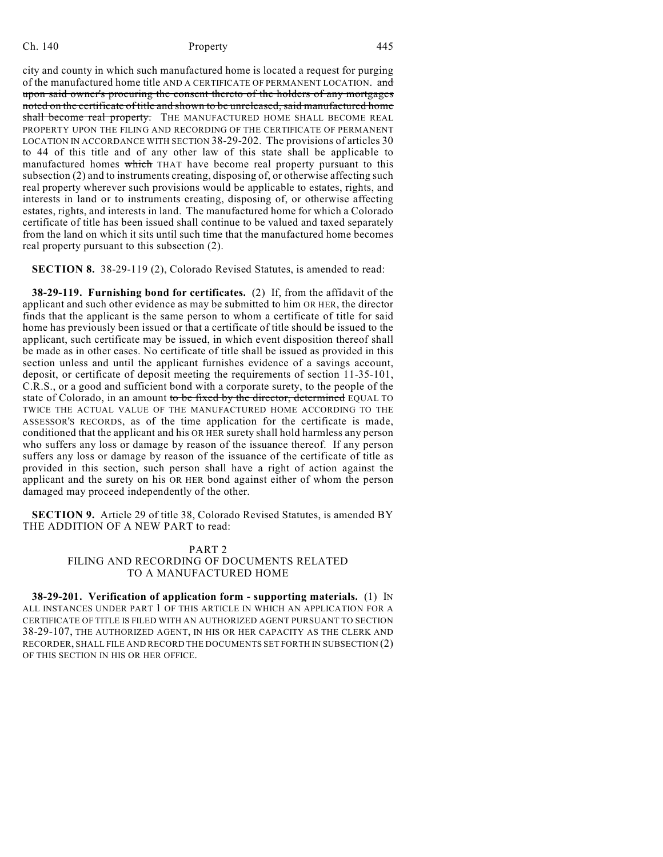Ch. 140 Property 2445 city and county in which such manufactured home is located a request for purging of the manufactured home title AND A CERTIFICATE OF PERMANENT LOCATION. and upon said owner's procuring the consent thereto of the holders of any mortgages noted on the certificate of title and shown to be unreleased, said manufactured home shall become real property. THE MANUFACTURED HOME SHALL BECOME REAL PROPERTY UPON THE FILING AND RECORDING OF THE CERTIFICATE OF PERMANENT LOCATION IN ACCORDANCE WITH SECTION 38-29-202. The provisions of articles 30 to 44 of this title and of any other law of this state shall be applicable to manufactured homes which THAT have become real property pursuant to this subsection (2) and to instruments creating, disposing of, or otherwise affecting such real property wherever such provisions would be applicable to estates, rights, and interests in land or to instruments creating, disposing of, or otherwise affecting estates, rights, and interests in land. The manufactured home for which a Colorado certificate of title has been issued shall continue to be valued and taxed separately from the land on which it sits until such time that the manufactured home becomes real property pursuant to this subsection (2).

**SECTION 8.** 38-29-119 (2), Colorado Revised Statutes, is amended to read:

**38-29-119. Furnishing bond for certificates.** (2) If, from the affidavit of the applicant and such other evidence as may be submitted to him OR HER, the director finds that the applicant is the same person to whom a certificate of title for said home has previously been issued or that a certificate of title should be issued to the applicant, such certificate may be issued, in which event disposition thereof shall be made as in other cases. No certificate of title shall be issued as provided in this section unless and until the applicant furnishes evidence of a savings account, deposit, or certificate of deposit meeting the requirements of section 11-35-101, C.R.S., or a good and sufficient bond with a corporate surety, to the people of the state of Colorado, in an amount to be fixed by the director, determined EQUAL TO TWICE THE ACTUAL VALUE OF THE MANUFACTURED HOME ACCORDING TO THE ASSESSOR'S RECORDS, as of the time application for the certificate is made, conditioned that the applicant and his OR HER surety shall hold harmless any person who suffers any loss or damage by reason of the issuance thereof. If any person suffers any loss or damage by reason of the issuance of the certificate of title as provided in this section, such person shall have a right of action against the applicant and the surety on his OR HER bond against either of whom the person damaged may proceed independently of the other.

**SECTION 9.** Article 29 of title 38, Colorado Revised Statutes, is amended BY THE ADDITION OF A NEW PART to read:

### PART 2

# FILING AND RECORDING OF DOCUMENTS RELATED TO A MANUFACTURED HOME

**38-29-201. Verification of application form - supporting materials.** (1) IN ALL INSTANCES UNDER PART 1 OF THIS ARTICLE IN WHICH AN APPLICATION FOR A CERTIFICATE OF TITLE IS FILED WITH AN AUTHORIZED AGENT PURSUANT TO SECTION 38-29-107, THE AUTHORIZED AGENT, IN HIS OR HER CAPACITY AS THE CLERK AND RECORDER, SHALL FILE AND RECORD THE DOCUMENTS SET FORTH IN SUBSECTION (2) OF THIS SECTION IN HIS OR HER OFFICE.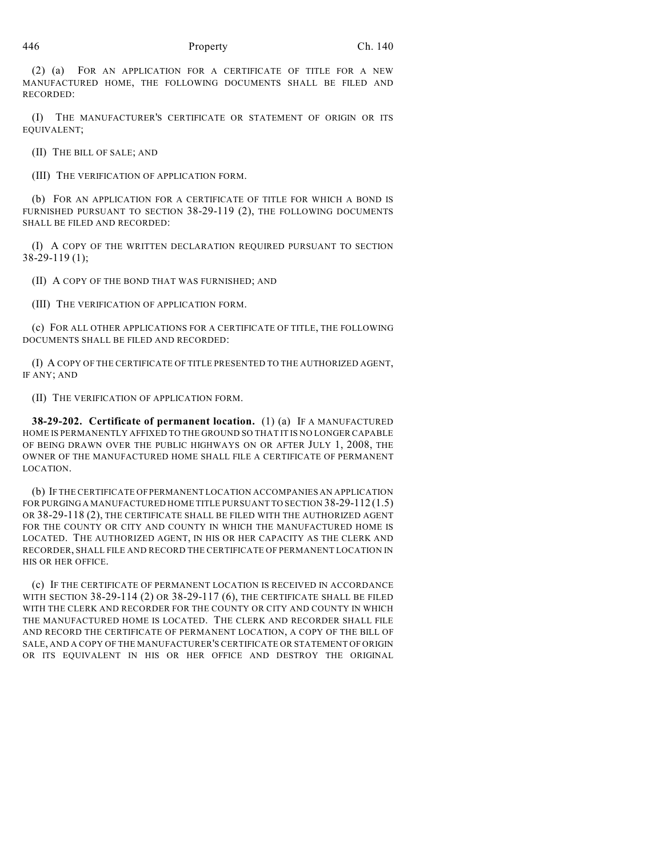(2) (a) FOR AN APPLICATION FOR A CERTIFICATE OF TITLE FOR A NEW MANUFACTURED HOME, THE FOLLOWING DOCUMENTS SHALL BE FILED AND RECORDED:

(I) THE MANUFACTURER'S CERTIFICATE OR STATEMENT OF ORIGIN OR ITS EQUIVALENT;

(II) THE BILL OF SALE; AND

(III) THE VERIFICATION OF APPLICATION FORM.

(b) FOR AN APPLICATION FOR A CERTIFICATE OF TITLE FOR WHICH A BOND IS FURNISHED PURSUANT TO SECTION 38-29-119 (2), THE FOLLOWING DOCUMENTS SHALL BE FILED AND RECORDED:

(I) A COPY OF THE WRITTEN DECLARATION REQUIRED PURSUANT TO SECTION 38-29-119 (1);

(II) A COPY OF THE BOND THAT WAS FURNISHED; AND

(III) THE VERIFICATION OF APPLICATION FORM.

(c) FOR ALL OTHER APPLICATIONS FOR A CERTIFICATE OF TITLE, THE FOLLOWING DOCUMENTS SHALL BE FILED AND RECORDED:

(I) A COPY OF THE CERTIFICATE OF TITLE PRESENTED TO THE AUTHORIZED AGENT, IF ANY; AND

(II) THE VERIFICATION OF APPLICATION FORM.

**38-29-202. Certificate of permanent location.** (1) (a) IF A MANUFACTURED HOME IS PERMANENTLY AFFIXED TO THE GROUND SO THAT IT IS NO LONGER CAPABLE OF BEING DRAWN OVER THE PUBLIC HIGHWAYS ON OR AFTER JULY 1, 2008, THE OWNER OF THE MANUFACTURED HOME SHALL FILE A CERTIFICATE OF PERMANENT LOCATION.

(b) IF THE CERTIFICATE OF PERMANENT LOCATION ACCOMPANIES AN APPLICATION FOR PURGING A MANUFACTURED HOME TITLE PURSUANT TO SECTION 38-29-112 (1.5) OR 38-29-118 (2), THE CERTIFICATE SHALL BE FILED WITH THE AUTHORIZED AGENT FOR THE COUNTY OR CITY AND COUNTY IN WHICH THE MANUFACTURED HOME IS LOCATED. THE AUTHORIZED AGENT, IN HIS OR HER CAPACITY AS THE CLERK AND RECORDER, SHALL FILE AND RECORD THE CERTIFICATE OF PERMANENT LOCATION IN HIS OR HER OFFICE.

(c) IF THE CERTIFICATE OF PERMANENT LOCATION IS RECEIVED IN ACCORDANCE WITH SECTION 38-29-114 (2) OR 38-29-117 (6), THE CERTIFICATE SHALL BE FILED WITH THE CLERK AND RECORDER FOR THE COUNTY OR CITY AND COUNTY IN WHICH THE MANUFACTURED HOME IS LOCATED. THE CLERK AND RECORDER SHALL FILE AND RECORD THE CERTIFICATE OF PERMANENT LOCATION, A COPY OF THE BILL OF SALE, AND A COPY OF THE MANUFACTURER'S CERTIFICATE OR STATEMENT OF ORIGIN OR ITS EQUIVALENT IN HIS OR HER OFFICE AND DESTROY THE ORIGINAL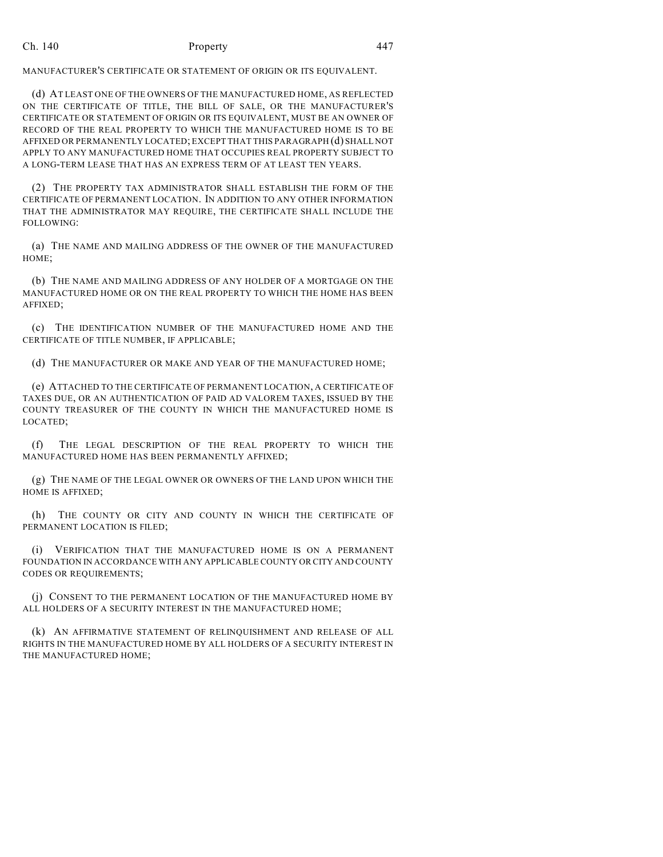# Ch. 140 **Property** Property **147**

MANUFACTURER'S CERTIFICATE OR STATEMENT OF ORIGIN OR ITS EQUIVALENT.

(d) AT LEAST ONE OF THE OWNERS OF THE MANUFACTURED HOME, AS REFLECTED ON THE CERTIFICATE OF TITLE, THE BILL OF SALE, OR THE MANUFACTURER'S CERTIFICATE OR STATEMENT OF ORIGIN OR ITS EQUIVALENT, MUST BE AN OWNER OF RECORD OF THE REAL PROPERTY TO WHICH THE MANUFACTURED HOME IS TO BE AFFIXED OR PERMANENTLY LOCATED; EXCEPT THAT THIS PARAGRAPH (d) SHALL NOT APPLY TO ANY MANUFACTURED HOME THAT OCCUPIES REAL PROPERTY SUBJECT TO A LONG-TERM LEASE THAT HAS AN EXPRESS TERM OF AT LEAST TEN YEARS.

(2) THE PROPERTY TAX ADMINISTRATOR SHALL ESTABLISH THE FORM OF THE CERTIFICATE OF PERMANENT LOCATION. IN ADDITION TO ANY OTHER INFORMATION THAT THE ADMINISTRATOR MAY REQUIRE, THE CERTIFICATE SHALL INCLUDE THE FOLLOWING:

(a) THE NAME AND MAILING ADDRESS OF THE OWNER OF THE MANUFACTURED HOME;

(b) THE NAME AND MAILING ADDRESS OF ANY HOLDER OF A MORTGAGE ON THE MANUFACTURED HOME OR ON THE REAL PROPERTY TO WHICH THE HOME HAS BEEN AFFIXED;

(c) THE IDENTIFICATION NUMBER OF THE MANUFACTURED HOME AND THE CERTIFICATE OF TITLE NUMBER, IF APPLICABLE;

(d) THE MANUFACTURER OR MAKE AND YEAR OF THE MANUFACTURED HOME;

(e) ATTACHED TO THE CERTIFICATE OF PERMANENT LOCATION, A CERTIFICATE OF TAXES DUE, OR AN AUTHENTICATION OF PAID AD VALOREM TAXES, ISSUED BY THE COUNTY TREASURER OF THE COUNTY IN WHICH THE MANUFACTURED HOME IS LOCATED;

(f) THE LEGAL DESCRIPTION OF THE REAL PROPERTY TO WHICH THE MANUFACTURED HOME HAS BEEN PERMANENTLY AFFIXED;

(g) THE NAME OF THE LEGAL OWNER OR OWNERS OF THE LAND UPON WHICH THE HOME IS AFFIXED;

(h) THE COUNTY OR CITY AND COUNTY IN WHICH THE CERTIFICATE OF PERMANENT LOCATION IS FILED;

(i) VERIFICATION THAT THE MANUFACTURED HOME IS ON A PERMANENT FOUNDATION IN ACCORDANCE WITH ANY APPLICABLE COUNTY OR CITY AND COUNTY CODES OR REQUIREMENTS;

(j) CONSENT TO THE PERMANENT LOCATION OF THE MANUFACTURED HOME BY ALL HOLDERS OF A SECURITY INTEREST IN THE MANUFACTURED HOME;

(k) AN AFFIRMATIVE STATEMENT OF RELINQUISHMENT AND RELEASE OF ALL RIGHTS IN THE MANUFACTURED HOME BY ALL HOLDERS OF A SECURITY INTEREST IN THE MANUFACTURED HOME;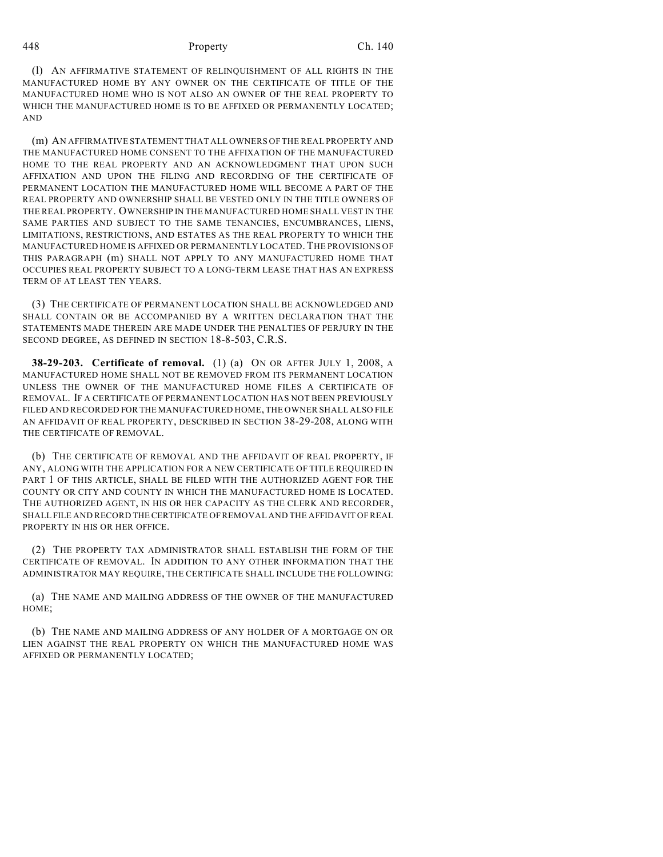#### 448 Property Ch. 140

(l) AN AFFIRMATIVE STATEMENT OF RELINQUISHMENT OF ALL RIGHTS IN THE MANUFACTURED HOME BY ANY OWNER ON THE CERTIFICATE OF TITLE OF THE MANUFACTURED HOME WHO IS NOT ALSO AN OWNER OF THE REAL PROPERTY TO WHICH THE MANUFACTURED HOME IS TO BE AFFIXED OR PERMANENTLY LOCATED; AND

(m) AN AFFIRMATIVE STATEMENT THAT ALL OWNERS OF THE REAL PROPERTY AND THE MANUFACTURED HOME CONSENT TO THE AFFIXATION OF THE MANUFACTURED HOME TO THE REAL PROPERTY AND AN ACKNOWLEDGMENT THAT UPON SUCH AFFIXATION AND UPON THE FILING AND RECORDING OF THE CERTIFICATE OF PERMANENT LOCATION THE MANUFACTURED HOME WILL BECOME A PART OF THE REAL PROPERTY AND OWNERSHIP SHALL BE VESTED ONLY IN THE TITLE OWNERS OF THE REAL PROPERTY. OWNERSHIP IN THE MANUFACTURED HOME SHALL VEST IN THE SAME PARTIES AND SUBJECT TO THE SAME TENANCIES, ENCUMBRANCES, LIENS, LIMITATIONS, RESTRICTIONS, AND ESTATES AS THE REAL PROPERTY TO WHICH THE MANUFACTURED HOME IS AFFIXED OR PERMANENTLY LOCATED. THE PROVISIONS OF THIS PARAGRAPH (m) SHALL NOT APPLY TO ANY MANUFACTURED HOME THAT OCCUPIES REAL PROPERTY SUBJECT TO A LONG-TERM LEASE THAT HAS AN EXPRESS TERM OF AT LEAST TEN YEARS.

(3) THE CERTIFICATE OF PERMANENT LOCATION SHALL BE ACKNOWLEDGED AND SHALL CONTAIN OR BE ACCOMPANIED BY A WRITTEN DECLARATION THAT THE STATEMENTS MADE THEREIN ARE MADE UNDER THE PENALTIES OF PERJURY IN THE SECOND DEGREE, AS DEFINED IN SECTION 18-8-503, C.R.S.

**38-29-203. Certificate of removal.** (1) (a) ON OR AFTER JULY 1, 2008, A MANUFACTURED HOME SHALL NOT BE REMOVED FROM ITS PERMANENT LOCATION UNLESS THE OWNER OF THE MANUFACTURED HOME FILES A CERTIFICATE OF REMOVAL. IF A CERTIFICATE OF PERMANENT LOCATION HAS NOT BEEN PREVIOUSLY FILED AND RECORDED FOR THE MANUFACTURED HOME, THE OWNER SHALL ALSO FILE AN AFFIDAVIT OF REAL PROPERTY, DESCRIBED IN SECTION 38-29-208, ALONG WITH THE CERTIFICATE OF REMOVAL.

(b) THE CERTIFICATE OF REMOVAL AND THE AFFIDAVIT OF REAL PROPERTY, IF ANY, ALONG WITH THE APPLICATION FOR A NEW CERTIFICATE OF TITLE REQUIRED IN PART 1 OF THIS ARTICLE, SHALL BE FILED WITH THE AUTHORIZED AGENT FOR THE COUNTY OR CITY AND COUNTY IN WHICH THE MANUFACTURED HOME IS LOCATED. THE AUTHORIZED AGENT, IN HIS OR HER CAPACITY AS THE CLERK AND RECORDER, SHALL FILE AND RECORD THE CERTIFICATE OF REMOVAL AND THE AFFIDAVIT OF REAL PROPERTY IN HIS OR HER OFFICE.

(2) THE PROPERTY TAX ADMINISTRATOR SHALL ESTABLISH THE FORM OF THE CERTIFICATE OF REMOVAL. IN ADDITION TO ANY OTHER INFORMATION THAT THE ADMINISTRATOR MAY REQUIRE, THE CERTIFICATE SHALL INCLUDE THE FOLLOWING:

(a) THE NAME AND MAILING ADDRESS OF THE OWNER OF THE MANUFACTURED HOME;

(b) THE NAME AND MAILING ADDRESS OF ANY HOLDER OF A MORTGAGE ON OR LIEN AGAINST THE REAL PROPERTY ON WHICH THE MANUFACTURED HOME WAS AFFIXED OR PERMANENTLY LOCATED;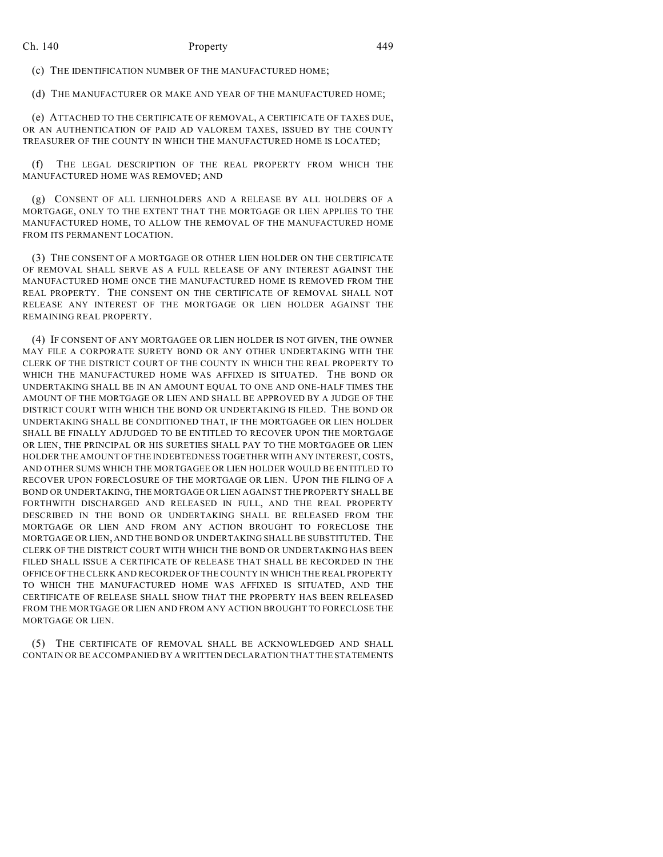(c) THE IDENTIFICATION NUMBER OF THE MANUFACTURED HOME;

(d) THE MANUFACTURER OR MAKE AND YEAR OF THE MANUFACTURED HOME;

(e) ATTACHED TO THE CERTIFICATE OF REMOVAL, A CERTIFICATE OF TAXES DUE, OR AN AUTHENTICATION OF PAID AD VALOREM TAXES, ISSUED BY THE COUNTY TREASURER OF THE COUNTY IN WHICH THE MANUFACTURED HOME IS LOCATED;

(f) THE LEGAL DESCRIPTION OF THE REAL PROPERTY FROM WHICH THE MANUFACTURED HOME WAS REMOVED; AND

(g) CONSENT OF ALL LIENHOLDERS AND A RELEASE BY ALL HOLDERS OF A MORTGAGE, ONLY TO THE EXTENT THAT THE MORTGAGE OR LIEN APPLIES TO THE MANUFACTURED HOME, TO ALLOW THE REMOVAL OF THE MANUFACTURED HOME FROM ITS PERMANENT LOCATION.

(3) THE CONSENT OF A MORTGAGE OR OTHER LIEN HOLDER ON THE CERTIFICATE OF REMOVAL SHALL SERVE AS A FULL RELEASE OF ANY INTEREST AGAINST THE MANUFACTURED HOME ONCE THE MANUFACTURED HOME IS REMOVED FROM THE REAL PROPERTY. THE CONSENT ON THE CERTIFICATE OF REMOVAL SHALL NOT RELEASE ANY INTEREST OF THE MORTGAGE OR LIEN HOLDER AGAINST THE REMAINING REAL PROPERTY.

(4) IF CONSENT OF ANY MORTGAGEE OR LIEN HOLDER IS NOT GIVEN, THE OWNER MAY FILE A CORPORATE SURETY BOND OR ANY OTHER UNDERTAKING WITH THE CLERK OF THE DISTRICT COURT OF THE COUNTY IN WHICH THE REAL PROPERTY TO WHICH THE MANUFACTURED HOME WAS AFFIXED IS SITUATED. THE BOND OR UNDERTAKING SHALL BE IN AN AMOUNT EQUAL TO ONE AND ONE-HALF TIMES THE AMOUNT OF THE MORTGAGE OR LIEN AND SHALL BE APPROVED BY A JUDGE OF THE DISTRICT COURT WITH WHICH THE BOND OR UNDERTAKING IS FILED. THE BOND OR UNDERTAKING SHALL BE CONDITIONED THAT, IF THE MORTGAGEE OR LIEN HOLDER SHALL BE FINALLY ADJUDGED TO BE ENTITLED TO RECOVER UPON THE MORTGAGE OR LIEN, THE PRINCIPAL OR HIS SURETIES SHALL PAY TO THE MORTGAGEE OR LIEN HOLDER THE AMOUNT OF THE INDEBTEDNESS TOGETHER WITH ANY INTEREST, COSTS, AND OTHER SUMS WHICH THE MORTGAGEE OR LIEN HOLDER WOULD BE ENTITLED TO RECOVER UPON FORECLOSURE OF THE MORTGAGE OR LIEN. UPON THE FILING OF A BOND OR UNDERTAKING, THE MORTGAGE OR LIEN AGAINST THE PROPERTY SHALL BE FORTHWITH DISCHARGED AND RELEASED IN FULL, AND THE REAL PROPERTY DESCRIBED IN THE BOND OR UNDERTAKING SHALL BE RELEASED FROM THE MORTGAGE OR LIEN AND FROM ANY ACTION BROUGHT TO FORECLOSE THE MORTGAGE OR LIEN, AND THE BOND OR UNDERTAKING SHALL BE SUBSTITUTED. THE CLERK OF THE DISTRICT COURT WITH WHICH THE BOND OR UNDERTAKING HAS BEEN FILED SHALL ISSUE A CERTIFICATE OF RELEASE THAT SHALL BE RECORDED IN THE OFFICE OFTHE CLERK AND RECORDER OFTHE COUNTY IN WHICH THE REAL PROPERTY TO WHICH THE MANUFACTURED HOME WAS AFFIXED IS SITUATED, AND THE CERTIFICATE OF RELEASE SHALL SHOW THAT THE PROPERTY HAS BEEN RELEASED FROM THE MORTGAGE OR LIEN AND FROM ANY ACTION BROUGHT TO FORECLOSE THE MORTGAGE OR LIEN.

(5) THE CERTIFICATE OF REMOVAL SHALL BE ACKNOWLEDGED AND SHALL CONTAIN OR BE ACCOMPANIED BY A WRITTEN DECLARATION THAT THE STATEMENTS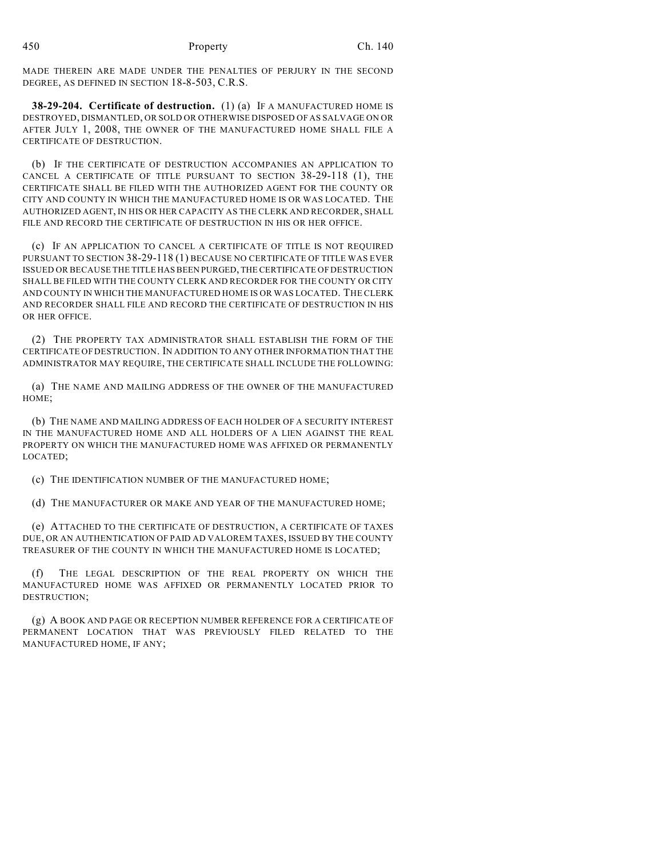MADE THEREIN ARE MADE UNDER THE PENALTIES OF PERJURY IN THE SECOND DEGREE, AS DEFINED IN SECTION 18-8-503, C.R.S.

**38-29-204. Certificate of destruction.** (1) (a) IF A MANUFACTURED HOME IS DESTROYED, DISMANTLED, OR SOLD OR OTHERWISE DISPOSED OF AS SALVAGE ON OR AFTER JULY 1, 2008, THE OWNER OF THE MANUFACTURED HOME SHALL FILE A CERTIFICATE OF DESTRUCTION.

(b) IF THE CERTIFICATE OF DESTRUCTION ACCOMPANIES AN APPLICATION TO CANCEL A CERTIFICATE OF TITLE PURSUANT TO SECTION 38-29-118 (1), THE CERTIFICATE SHALL BE FILED WITH THE AUTHORIZED AGENT FOR THE COUNTY OR CITY AND COUNTY IN WHICH THE MANUFACTURED HOME IS OR WAS LOCATED. THE AUTHORIZED AGENT, IN HIS OR HER CAPACITY AS THE CLERK AND RECORDER, SHALL FILE AND RECORD THE CERTIFICATE OF DESTRUCTION IN HIS OR HER OFFICE.

(c) IF AN APPLICATION TO CANCEL A CERTIFICATE OF TITLE IS NOT REQUIRED PURSUANT TO SECTION 38-29-118 (1) BECAUSE NO CERTIFICATE OF TITLE WAS EVER ISSUED OR BECAUSE THE TITLE HAS BEEN PURGED, THE CERTIFICATE OF DESTRUCTION SHALL BE FILED WITH THE COUNTY CLERK AND RECORDER FOR THE COUNTY OR CITY AND COUNTY IN WHICH THE MANUFACTURED HOME IS OR WAS LOCATED. THE CLERK AND RECORDER SHALL FILE AND RECORD THE CERTIFICATE OF DESTRUCTION IN HIS OR HER OFFICE.

(2) THE PROPERTY TAX ADMINISTRATOR SHALL ESTABLISH THE FORM OF THE CERTIFICATE OF DESTRUCTION. IN ADDITION TO ANY OTHER INFORMATION THAT THE ADMINISTRATOR MAY REQUIRE, THE CERTIFICATE SHALL INCLUDE THE FOLLOWING:

(a) THE NAME AND MAILING ADDRESS OF THE OWNER OF THE MANUFACTURED HOME;

(b) THE NAME AND MAILING ADDRESS OF EACH HOLDER OF A SECURITY INTEREST IN THE MANUFACTURED HOME AND ALL HOLDERS OF A LIEN AGAINST THE REAL PROPERTY ON WHICH THE MANUFACTURED HOME WAS AFFIXED OR PERMANENTLY LOCATED;

(c) THE IDENTIFICATION NUMBER OF THE MANUFACTURED HOME;

(d) THE MANUFACTURER OR MAKE AND YEAR OF THE MANUFACTURED HOME;

(e) ATTACHED TO THE CERTIFICATE OF DESTRUCTION, A CERTIFICATE OF TAXES DUE, OR AN AUTHENTICATION OF PAID AD VALOREM TAXES, ISSUED BY THE COUNTY TREASURER OF THE COUNTY IN WHICH THE MANUFACTURED HOME IS LOCATED;

(f) THE LEGAL DESCRIPTION OF THE REAL PROPERTY ON WHICH THE MANUFACTURED HOME WAS AFFIXED OR PERMANENTLY LOCATED PRIOR TO DESTRUCTION;

(g) A BOOK AND PAGE OR RECEPTION NUMBER REFERENCE FOR A CERTIFICATE OF PERMANENT LOCATION THAT WAS PREVIOUSLY FILED RELATED TO THE MANUFACTURED HOME, IF ANY;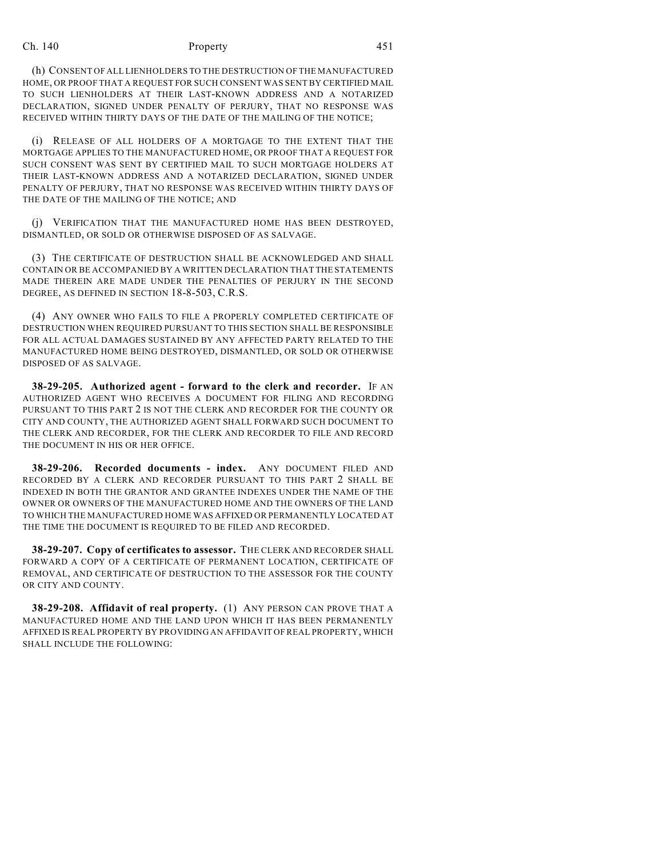## Ch. 140 Property 251

(h) CONSENT OF ALL LIENHOLDERS TO THE DESTRUCTION OF THE MANUFACTURED HOME, OR PROOF THAT A REQUEST FOR SUCH CONSENT WAS SENT BY CERTIFIED MAIL TO SUCH LIENHOLDERS AT THEIR LAST-KNOWN ADDRESS AND A NOTARIZED DECLARATION, SIGNED UNDER PENALTY OF PERJURY, THAT NO RESPONSE WAS RECEIVED WITHIN THIRTY DAYS OF THE DATE OF THE MAILING OF THE NOTICE;

(i) RELEASE OF ALL HOLDERS OF A MORTGAGE TO THE EXTENT THAT THE MORTGAGE APPLIES TO THE MANUFACTURED HOME, OR PROOF THAT A REQUEST FOR SUCH CONSENT WAS SENT BY CERTIFIED MAIL TO SUCH MORTGAGE HOLDERS AT THEIR LAST-KNOWN ADDRESS AND A NOTARIZED DECLARATION, SIGNED UNDER PENALTY OF PERJURY, THAT NO RESPONSE WAS RECEIVED WITHIN THIRTY DAYS OF THE DATE OF THE MAILING OF THE NOTICE; AND

(j) VERIFICATION THAT THE MANUFACTURED HOME HAS BEEN DESTROYED, DISMANTLED, OR SOLD OR OTHERWISE DISPOSED OF AS SALVAGE.

(3) THE CERTIFICATE OF DESTRUCTION SHALL BE ACKNOWLEDGED AND SHALL CONTAIN OR BE ACCOMPANIED BY A WRITTEN DECLARATION THAT THE STATEMENTS MADE THEREIN ARE MADE UNDER THE PENALTIES OF PERJURY IN THE SECOND DEGREE, AS DEFINED IN SECTION 18-8-503, C.R.S.

(4) ANY OWNER WHO FAILS TO FILE A PROPERLY COMPLETED CERTIFICATE OF DESTRUCTION WHEN REQUIRED PURSUANT TO THIS SECTION SHALL BE RESPONSIBLE FOR ALL ACTUAL DAMAGES SUSTAINED BY ANY AFFECTED PARTY RELATED TO THE MANUFACTURED HOME BEING DESTROYED, DISMANTLED, OR SOLD OR OTHERWISE DISPOSED OF AS SALVAGE.

**38-29-205. Authorized agent - forward to the clerk and recorder.** IF AN AUTHORIZED AGENT WHO RECEIVES A DOCUMENT FOR FILING AND RECORDING PURSUANT TO THIS PART 2 IS NOT THE CLERK AND RECORDER FOR THE COUNTY OR CITY AND COUNTY, THE AUTHORIZED AGENT SHALL FORWARD SUCH DOCUMENT TO THE CLERK AND RECORDER, FOR THE CLERK AND RECORDER TO FILE AND RECORD THE DOCUMENT IN HIS OR HER OFFICE.

**38-29-206. Recorded documents - index.** ANY DOCUMENT FILED AND RECORDED BY A CLERK AND RECORDER PURSUANT TO THIS PART 2 SHALL BE INDEXED IN BOTH THE GRANTOR AND GRANTEE INDEXES UNDER THE NAME OF THE OWNER OR OWNERS OF THE MANUFACTURED HOME AND THE OWNERS OF THE LAND TO WHICH THE MANUFACTURED HOME WAS AFFIXED OR PERMANENTLY LOCATED AT THE TIME THE DOCUMENT IS REQUIRED TO BE FILED AND RECORDED.

**38-29-207. Copy of certificates to assessor.** THE CLERK AND RECORDER SHALL FORWARD A COPY OF A CERTIFICATE OF PERMANENT LOCATION, CERTIFICATE OF REMOVAL, AND CERTIFICATE OF DESTRUCTION TO THE ASSESSOR FOR THE COUNTY OR CITY AND COUNTY.

**38-29-208. Affidavit of real property.** (1) ANY PERSON CAN PROVE THAT A MANUFACTURED HOME AND THE LAND UPON WHICH IT HAS BEEN PERMANENTLY AFFIXED IS REAL PROPERTY BY PROVIDING AN AFFIDAVIT OFREAL PROPERTY, WHICH SHALL INCLUDE THE FOLLOWING: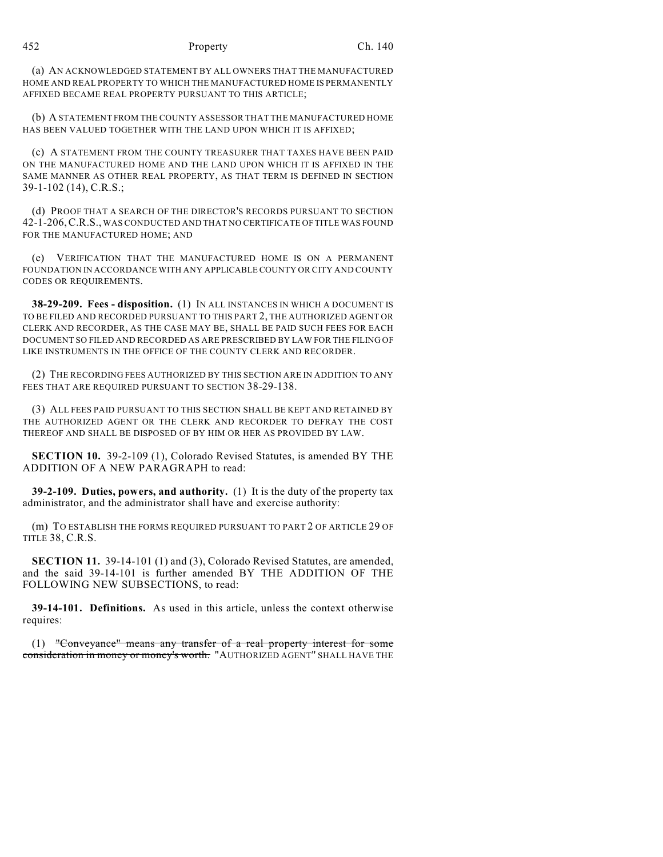(a) AN ACKNOWLEDGED STATEMENT BY ALL OWNERS THAT THE MANUFACTURED HOME AND REAL PROPERTY TO WHICH THE MANUFACTURED HOME IS PERMANENTLY AFFIXED BECAME REAL PROPERTY PURSUANT TO THIS ARTICLE;

(b) A STATEMENT FROM THE COUNTY ASSESSOR THAT THE MANUFACTURED HOME HAS BEEN VALUED TOGETHER WITH THE LAND UPON WHICH IT IS AFFIXED;

(c) A STATEMENT FROM THE COUNTY TREASURER THAT TAXES HAVE BEEN PAID ON THE MANUFACTURED HOME AND THE LAND UPON WHICH IT IS AFFIXED IN THE SAME MANNER AS OTHER REAL PROPERTY, AS THAT TERM IS DEFINED IN SECTION 39-1-102 (14), C.R.S.;

(d) PROOF THAT A SEARCH OF THE DIRECTOR'S RECORDS PURSUANT TO SECTION 42-1-206,C.R.S., WAS CONDUCTED AND THAT NO CERTIFICATE OF TITLE WAS FOUND FOR THE MANUFACTURED HOME; AND

(e) VERIFICATION THAT THE MANUFACTURED HOME IS ON A PERMANENT FOUNDATION IN ACCORDANCE WITH ANY APPLICABLE COUNTY OR CITY AND COUNTY CODES OR REQUIREMENTS.

**38-29-209. Fees - disposition.** (1) IN ALL INSTANCES IN WHICH A DOCUMENT IS TO BE FILED AND RECORDED PURSUANT TO THIS PART 2, THE AUTHORIZED AGENT OR CLERK AND RECORDER, AS THE CASE MAY BE, SHALL BE PAID SUCH FEES FOR EACH DOCUMENT SO FILED AND RECORDED AS ARE PRESCRIBED BY LAW FOR THE FILING OF LIKE INSTRUMENTS IN THE OFFICE OF THE COUNTY CLERK AND RECORDER.

(2) THE RECORDING FEES AUTHORIZED BY THIS SECTION ARE IN ADDITION TO ANY FEES THAT ARE REQUIRED PURSUANT TO SECTION 38-29-138.

(3) ALL FEES PAID PURSUANT TO THIS SECTION SHALL BE KEPT AND RETAINED BY THE AUTHORIZED AGENT OR THE CLERK AND RECORDER TO DEFRAY THE COST THEREOF AND SHALL BE DISPOSED OF BY HIM OR HER AS PROVIDED BY LAW.

**SECTION 10.** 39-2-109 (1), Colorado Revised Statutes, is amended BY THE ADDITION OF A NEW PARAGRAPH to read:

**39-2-109. Duties, powers, and authority.** (1) It is the duty of the property tax administrator, and the administrator shall have and exercise authority:

(m) TO ESTABLISH THE FORMS REQUIRED PURSUANT TO PART 2 OF ARTICLE 29 OF TITLE 38, C.R.S.

**SECTION 11.** 39-14-101 (1) and (3), Colorado Revised Statutes, are amended, and the said 39-14-101 is further amended BY THE ADDITION OF THE FOLLOWING NEW SUBSECTIONS, to read:

**39-14-101. Definitions.** As used in this article, unless the context otherwise requires:

(1) "Conveyance" means any transfer of a real property interest for some consideration in money or money's worth. "AUTHORIZED AGENT" SHALL HAVE THE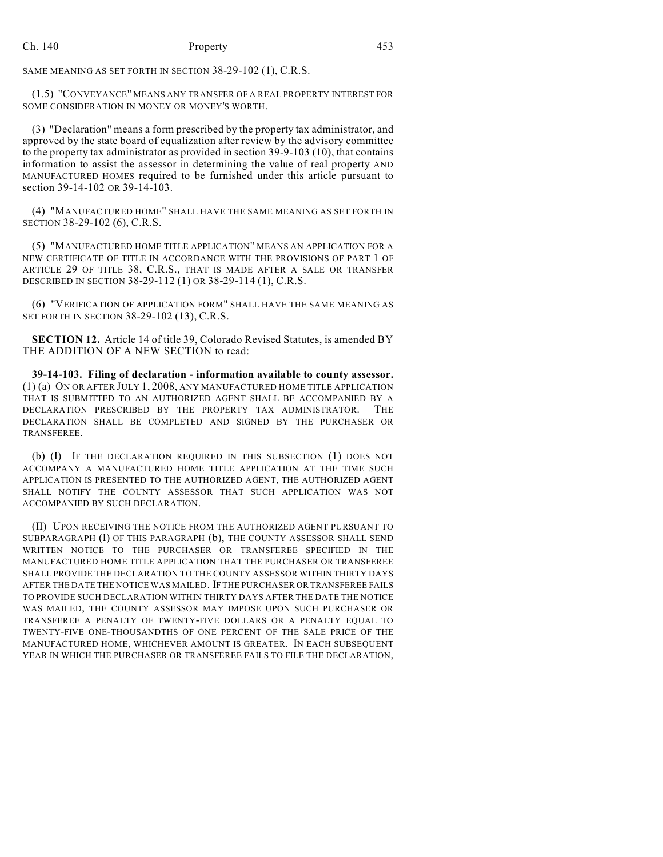### Ch. 140 Property 253

SAME MEANING AS SET FORTH IN SECTION 38-29-102 (1), C.R.S.

(1.5) "CONVEYANCE" MEANS ANY TRANSFER OF A REAL PROPERTY INTEREST FOR SOME CONSIDERATION IN MONEY OR MONEY'S WORTH.

(3) "Declaration" means a form prescribed by the property tax administrator, and approved by the state board of equalization after review by the advisory committee to the property tax administrator as provided in section 39-9-103 (10), that contains information to assist the assessor in determining the value of real property AND MANUFACTURED HOMES required to be furnished under this article pursuant to section 39-14-102 OR 39-14-103.

(4) "MANUFACTURED HOME" SHALL HAVE THE SAME MEANING AS SET FORTH IN SECTION 38-29-102 (6), C.R.S.

(5) "MANUFACTURED HOME TITLE APPLICATION" MEANS AN APPLICATION FOR A NEW CERTIFICATE OF TITLE IN ACCORDANCE WITH THE PROVISIONS OF PART 1 OF ARTICLE 29 OF TITLE 38, C.R.S., THAT IS MADE AFTER A SALE OR TRANSFER DESCRIBED IN SECTION 38-29-112 (1) OR 38-29-114 (1), C.R.S.

(6) "VERIFICATION OF APPLICATION FORM" SHALL HAVE THE SAME MEANING AS SET FORTH IN SECTION 38-29-102 (13), C.R.S.

**SECTION 12.** Article 14 of title 39, Colorado Revised Statutes, is amended BY THE ADDITION OF A NEW SECTION to read:

**39-14-103. Filing of declaration - information available to county assessor.** (1) (a) ON OR AFTER JULY 1, 2008, ANY MANUFACTURED HOME TITLE APPLICATION THAT IS SUBMITTED TO AN AUTHORIZED AGENT SHALL BE ACCOMPANIED BY A DECLARATION PRESCRIBED BY THE PROPERTY TAX ADMINISTRATOR. THE DECLARATION SHALL BE COMPLETED AND SIGNED BY THE PURCHASER OR TRANSFEREE.

(b) (I) IF THE DECLARATION REQUIRED IN THIS SUBSECTION (1) DOES NOT ACCOMPANY A MANUFACTURED HOME TITLE APPLICATION AT THE TIME SUCH APPLICATION IS PRESENTED TO THE AUTHORIZED AGENT, THE AUTHORIZED AGENT SHALL NOTIFY THE COUNTY ASSESSOR THAT SUCH APPLICATION WAS NOT ACCOMPANIED BY SUCH DECLARATION.

(II) UPON RECEIVING THE NOTICE FROM THE AUTHORIZED AGENT PURSUANT TO SUBPARAGRAPH (I) OF THIS PARAGRAPH (b), THE COUNTY ASSESSOR SHALL SEND WRITTEN NOTICE TO THE PURCHASER OR TRANSFEREE SPECIFIED IN THE MANUFACTURED HOME TITLE APPLICATION THAT THE PURCHASER OR TRANSFEREE SHALL PROVIDE THE DECLARATION TO THE COUNTY ASSESSOR WITHIN THIRTY DAYS AFTER THE DATE THE NOTICE WAS MAILED. IF THE PURCHASER OR TRANSFEREE FAILS TO PROVIDE SUCH DECLARATION WITHIN THIRTY DAYS AFTER THE DATE THE NOTICE WAS MAILED, THE COUNTY ASSESSOR MAY IMPOSE UPON SUCH PURCHASER OR TRANSFEREE A PENALTY OF TWENTY-FIVE DOLLARS OR A PENALTY EQUAL TO TWENTY-FIVE ONE-THOUSANDTHS OF ONE PERCENT OF THE SALE PRICE OF THE MANUFACTURED HOME, WHICHEVER AMOUNT IS GREATER. IN EACH SUBSEQUENT YEAR IN WHICH THE PURCHASER OR TRANSFEREE FAILS TO FILE THE DECLARATION,